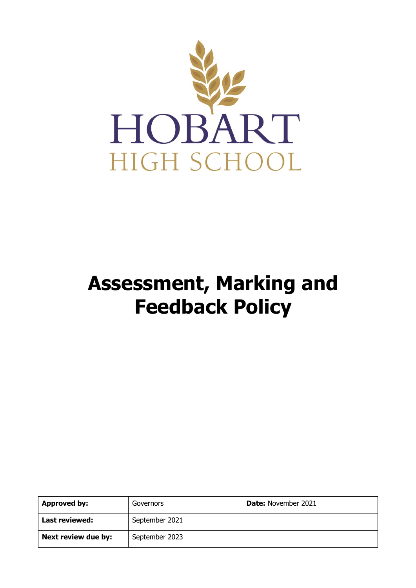

# **Assessment, Marking and Feedback Policy**

| Approved by:        | Governors      | <b>Date:</b> November 2021 |
|---------------------|----------------|----------------------------|
| Last reviewed:      | September 2021 |                            |
| Next review due by: | September 2023 |                            |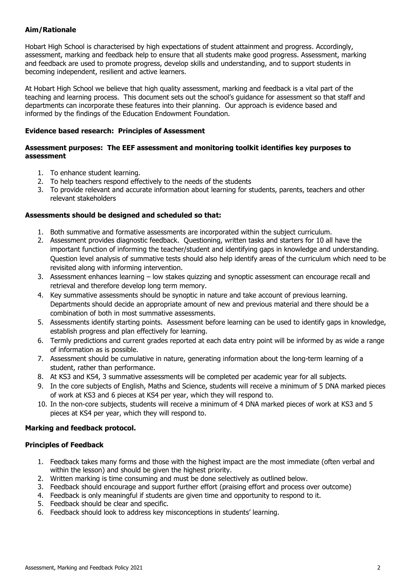# **Aim/Rationale**

Hobart High School is characterised by high expectations of student attainment and progress. Accordingly, assessment, marking and feedback help to ensure that all students make good progress. Assessment, marking and feedback are used to promote progress, develop skills and understanding, and to support students in becoming independent, resilient and active learners.

At Hobart High School we believe that high quality assessment, marking and feedback is a vital part of the teaching and learning process. This document sets out the school's guidance for assessment so that staff and departments can incorporate these features into their planning. Our approach is evidence based and informed by the findings of the Education Endowment Foundation.

#### **Evidence based research: Principles of Assessment**

#### **Assessment purposes: The EEF assessment and monitoring toolkit identifies key purposes to assessment**

- 1. To enhance student learning.
- 2. To help teachers respond effectively to the needs of the students
- 3. To provide relevant and accurate information about learning for students, parents, teachers and other relevant stakeholders

#### **Assessments should be designed and scheduled so that:**

- 1. Both summative and formative assessments are incorporated within the subject curriculum.
- 2. Assessment provides diagnostic feedback. Questioning, written tasks and starters for 10 all have the important function of informing the teacher/student and identifying gaps in knowledge and understanding. Question level analysis of summative tests should also help identify areas of the curriculum which need to be revisited along with informing intervention.
- 3. Assessment enhances learning low stakes quizzing and synoptic assessment can encourage recall and retrieval and therefore develop long term memory.
- 4. Key summative assessments should be synoptic in nature and take account of previous learning. Departments should decide an appropriate amount of new and previous material and there should be a combination of both in most summative assessments.
- 5. Assessments identify starting points. Assessment before learning can be used to identify gaps in knowledge, establish progress and plan effectively for learning.
- 6. Termly predictions and current grades reported at each data entry point will be informed by as wide a range of information as is possible.
- 7. Assessment should be cumulative in nature, generating information about the long-term learning of a student, rather than performance.
- 8. At KS3 and KS4, 3 summative assessments will be completed per academic year for all subjects.
- 9. In the core subjects of English, Maths and Science, students will receive a minimum of 5 DNA marked pieces of work at KS3 and 6 pieces at KS4 per year, which they will respond to.
- 10. In the non-core subjects, students will receive a minimum of 4 DNA marked pieces of work at KS3 and 5 pieces at KS4 per year, which they will respond to.

#### **Marking and feedback protocol.**

#### **Principles of Feedback**

- 1. Feedback takes many forms and those with the highest impact are the most immediate (often verbal and within the lesson) and should be given the highest priority.
- 2. Written marking is time consuming and must be done selectively as outlined below.
- 3. Feedback should encourage and support further effort (praising effort and process over outcome)
- 4. Feedback is only meaningful if students are given time and opportunity to respond to it.
- 5. Feedback should be clear and specific.
- 6. Feedback should look to address key misconceptions in students' learning.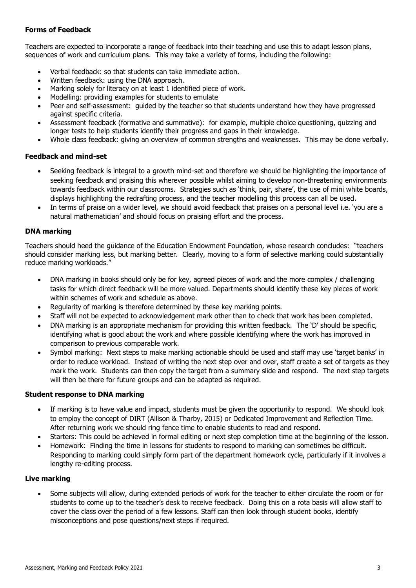# **Forms of Feedback**

Teachers are expected to incorporate a range of feedback into their teaching and use this to adapt lesson plans, sequences of work and curriculum plans. This may take a variety of forms, including the following:

- Verbal feedback: so that students can take immediate action.
- Written feedback: using the DNA approach.
- Marking solely for literacy on at least 1 identified piece of work.
- Modelling: providing examples for students to emulate
- Peer and self-assessment: guided by the teacher so that students understand how they have progressed against specific criteria.
- Assessment feedback (formative and summative): for example, multiple choice questioning, quizzing and longer tests to help students identify their progress and gaps in their knowledge.
- Whole class feedback: giving an overview of common strengths and weaknesses. This may be done verbally.

# **Feedback and mind-set**

- Seeking feedback is integral to a growth mind-set and therefore we should be highlighting the importance of seeking feedback and praising this wherever possible whilst aiming to develop non-threatening environments towards feedback within our classrooms. Strategies such as 'think, pair, share', the use of mini white boards, displays highlighting the redrafting process, and the teacher modelling this process can all be used.
- In terms of praise on a wider level, we should avoid feedback that praises on a personal level i.e. 'you are a natural mathematician' and should focus on praising effort and the process.

# **DNA marking**

Teachers should heed the guidance of the Education Endowment Foundation, whose research concludes: "teachers should consider marking less, but marking better. Clearly, moving to a form of selective marking could substantially reduce marking workloads."

- DNA marking in books should only be for key, agreed pieces of work and the more complex / challenging tasks for which direct feedback will be more valued. Departments should identify these key pieces of work within schemes of work and schedule as above.
- Regularity of marking is therefore determined by these key marking points.
- Staff will not be expected to acknowledgement mark other than to check that work has been completed.
- DNA marking is an appropriate mechanism for providing this written feedback. The 'D' should be specific, identifying what is good about the work and where possible identifying where the work has improved in comparison to previous comparable work.
- Symbol marking: Next steps to make marking actionable should be used and staff may use 'target banks' in order to reduce workload. Instead of writing the next step over and over, staff create a set of targets as they mark the work. Students can then copy the target from a summary slide and respond. The next step targets will then be there for future groups and can be adapted as required.

#### **Student response to DNA marking**

- If marking is to have value and impact, students must be given the opportunity to respond. We should look to employ the concept of DIRT (Allison & Tharby, 2015) or Dedicated Improvement and Reflection Time. After returning work we should ring fence time to enable students to read and respond.
- Starters: This could be achieved in formal editing or next step completion time at the beginning of the lesson.
- Homework: Finding the time in lessons for students to respond to marking can sometimes be difficult. Responding to marking could simply form part of the department homework cycle, particularly if it involves a lengthy re-editing process.

# **Live marking**

 Some subjects will allow, during extended periods of work for the teacher to either circulate the room or for students to come up to the teacher's desk to receive feedback. Doing this on a rota basis will allow staff to cover the class over the period of a few lessons. Staff can then look through student books, identify misconceptions and pose questions/next steps if required.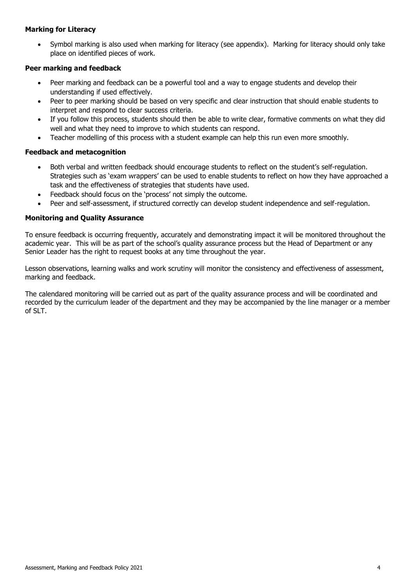# **Marking for Literacy**

 Symbol marking is also used when marking for literacy (see appendix). Marking for literacy should only take place on identified pieces of work.

### **Peer marking and feedback**

- Peer marking and feedback can be a powerful tool and a way to engage students and develop their understanding if used effectively.
- Peer to peer marking should be based on very specific and clear instruction that should enable students to interpret and respond to clear success criteria.
- If you follow this process, students should then be able to write clear, formative comments on what they did well and what they need to improve to which students can respond.
- Teacher modelling of this process with a student example can help this run even more smoothly.

# **Feedback and metacognition**

- Both verbal and written feedback should encourage students to reflect on the student's self-regulation. Strategies such as 'exam wrappers' can be used to enable students to reflect on how they have approached a task and the effectiveness of strategies that students have used.
- Feedback should focus on the 'process' not simply the outcome.
- Peer and self-assessment, if structured correctly can develop student independence and self-regulation.

# **Monitoring and Quality Assurance**

To ensure feedback is occurring frequently, accurately and demonstrating impact it will be monitored throughout the academic year. This will be as part of the school's quality assurance process but the Head of Department or any Senior Leader has the right to request books at any time throughout the year.

Lesson observations, learning walks and work scrutiny will monitor the consistency and effectiveness of assessment, marking and feedback.

The calendared monitoring will be carried out as part of the quality assurance process and will be coordinated and recorded by the curriculum leader of the department and they may be accompanied by the line manager or a member of SLT.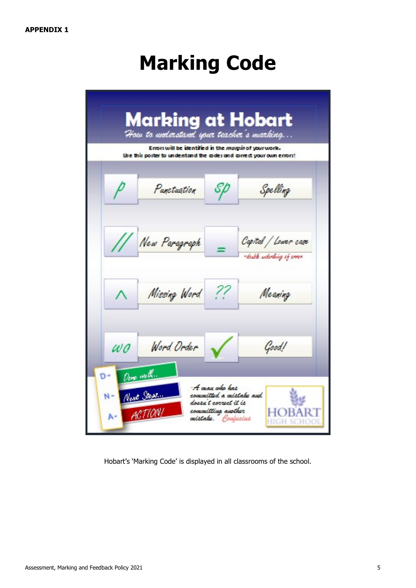# **Marking Code**

|                                     | Errors will be identified in the <i>margin</i> of your work.<br>Use this poster to understand the graes and goined; your own errors! |    | How to understand your teacher's <u>marking</u>    |
|-------------------------------------|--------------------------------------------------------------------------------------------------------------------------------------|----|----------------------------------------------------|
|                                     | Parctagtion                                                                                                                          | SÞ | Spelling                                           |
|                                     | New Paragraph                                                                                                                        |    | Capital / Lower case<br>-double anderling of arms. |
|                                     | Missing Word ??                                                                                                                      |    | Meaning                                            |
| $\omega$ <sub>0</sub><br>Done well. | Word Order                                                                                                                           |    | Good!                                              |

Hobart's 'Marking Code' is displayed in all classrooms of the school.